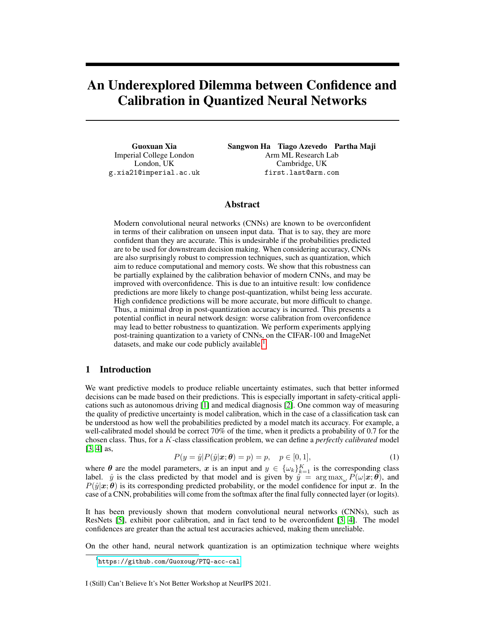# An Underexplored Dilemma between Confidence and Calibration in Quantized Neural Networks

Guoxuan Xia Imperial College London London, UK g.xia21@imperial.ac.uk Sangwon Ha Tiago Azevedo Partha Maji Arm ML Research Lab Cambridge, UK first.last@arm.com

## Abstract

Modern convolutional neural networks (CNNs) are known to be overconfident in terms of their calibration on unseen input data. That is to say, they are more confident than they are accurate. This is undesirable if the probabilities predicted are to be used for downstream decision making. When considering accuracy, CNNs are also surprisingly robust to compression techniques, such as quantization, which aim to reduce computational and memory costs. We show that this robustness can be partially explained by the calibration behavior of modern CNNs, and may be improved with overconfidence. This is due to an intuitive result: low confidence predictions are more likely to change post-quantization, whilst being less accurate. High confidence predictions will be more accurate, but more difficult to change. Thus, a minimal drop in post-quantization accuracy is incurred. This presents a potential conflict in neural network design: worse calibration from overconfidence may lead to better robustness to quantization. We perform experiments applying post-training quantization to a variety of CNNs, on the CIFAR-100 and ImageNet datasets, and make our code publicly available.<sup>[1](#page-0-0)</sup>

# 1 Introduction

We want predictive models to produce reliable uncertainty estimates, such that better informed decisions can be made based on their predictions. This is especially important in safety-critical applications such as autonomous driving [\[1\]](#page-4-0) and medical diagnosis [\[2\]](#page-4-1). One common way of measuring the quality of predictive uncertainty is model calibration, which in the case of a classification task can be understood as how well the probabilities predicted by a model match its accuracy. For example, a well-calibrated model should be correct 70% of the time, when it predicts a probability of 0.7 for the chosen class. Thus, for a K-class classification problem, we can define a *perfectly calibrated* model [\[3,](#page-4-2) [4\]](#page-4-3) as,

$$
P(y = \hat{y}|P(\hat{y}|\mathbf{x};\boldsymbol{\theta}) = p) = p, \quad p \in [0,1],
$$
\n(1)

<span id="page-0-1"></span>where  $\theta$  are the model parameters, x is an input and  $y \in \{\omega_k\}_{k=1}^K$  is the corresponding class label.  $\hat{y}$  is the class predicted by that model and is given by  $\hat{y} = \arg \max_{\omega} P(\omega | x; \theta)$ , and  $P(\hat{y}|\mathbf{x}; \theta)$  is its corresponding predicted probability, or the model confidence for input x. In the case of a CNN, probabilities will come from the softmax after the final fully connected layer (or logits).

It has been previously shown that modern convolutional neural networks (CNNs), such as ResNets [\[5\]](#page-4-4), exhibit poor calibration, and in fact tend to be overconfident [\[3,](#page-4-2) [4\]](#page-4-3). The model confidences are greater than the actual test accuracies achieved, making them unreliable.

On the other hand, neural network quantization is an optimization technique where weights

#### I (Still) Can't Believe It's Not Better Workshop at NeurIPS 2021.

<span id="page-0-0"></span><sup>1</sup> <https://github.com/Guoxoug/PTQ-acc-cal>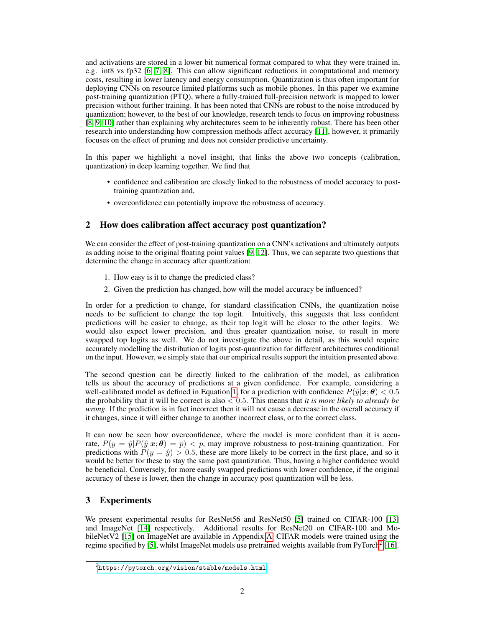and activations are stored in a lower bit numerical format compared to what they were trained in, e.g. int8 vs fp32 [\[6,](#page-4-5) [7,](#page-4-6) [8\]](#page-4-7). This can allow significant reductions in computational and memory costs, resulting in lower latency and energy consumption. Quantization is thus often important for deploying CNNs on resource limited platforms such as mobile phones. In this paper we examine post-training quantization (PTQ), where a fully-trained full-precision network is mapped to lower precision without further training. It has been noted that CNNs are robust to the noise introduced by quantization; however, to the best of our knowledge, research tends to focus on improving robustness [\[8,](#page-4-7) [9,](#page-4-8) [10\]](#page-4-9) rather than explaining why architectures seem to be inherently robust. There has been other research into understanding how compression methods affect accuracy [\[11\]](#page-4-10), however, it primarily focuses on the effect of pruning and does not consider predictive uncertainty.

In this paper we highlight a novel insight, that links the above two concepts (calibration, quantization) in deep learning together. We find that

- confidence and calibration are closely linked to the robustness of model accuracy to posttraining quantization and,
- overconfidence can potentially improve the robustness of accuracy.

# <span id="page-1-1"></span>2 How does calibration affect accuracy post quantization?

We can consider the effect of post-training quantization on a CNN's activations and ultimately outputs as adding noise to the original floating point values [\[9,](#page-4-8) [12\]](#page-4-11). Thus, we can separate two questions that determine the change in accuracy after quantization:

- 1. How easy is it to change the predicted class?
- 2. Given the prediction has changed, how will the model accuracy be influenced?

In order for a prediction to change, for standard classification CNNs, the quantization noise needs to be sufficient to change the top logit. Intuitively, this suggests that less confident predictions will be easier to change, as their top logit will be closer to the other logits. We would also expect lower precision, and thus greater quantization noise, to result in more swapped top logits as well. We do not investigate the above in detail, as this would require accurately modelling the distribution of logits post-quantization for different architectures conditional on the input. However, we simply state that our empirical results support the intuition presented above.

The second question can be directly linked to the calibration of the model, as calibration tells us about the accuracy of predictions at a given confidence. For example, considering a well-calibrated model as defined in Equation [1,](#page-0-1) for a prediction with confidence  $P(\hat{y}|\mathbf{x}; \theta) < 0.5$ the probability that it will be correct is also < 0.5. This means that *it is more likely to already be wrong*. If the prediction is in fact incorrect then it will not cause a decrease in the overall accuracy if it changes, since it will either change to another incorrect class, or to the correct class.

It can now be seen how overconfidence, where the model is more confident than it is accurate,  $P(y = \hat{y} | P(\hat{y} | \mathbf{x}; \theta) = p)$  < p, may improve robustness to post-training quantization. For predictions with  $P(y = \hat{y}) > 0.5$ , these are more likely to be correct in the first place, and so it would be better for these to stay the same post quantization. Thus, having a higher confidence would be beneficial. Conversely, for more easily swapped predictions with lower confidence, if the original accuracy of these is lower, then the change in accuracy post quantization will be less.

# 3 Experiments

We present experimental results for ResNet56 and ResNet50 [\[5\]](#page-4-4) trained on CIFAR-100 [\[13\]](#page-4-12) and ImageNet [\[14\]](#page-4-13) respectively. Additional results for ResNet20 on CIFAR-100 and MobileNetV2 [\[15\]](#page-4-14) on ImageNet are available in Appendix [A.](#page-5-0) CIFAR models were trained using the regime specified by [\[5\]](#page-4-4), whilst ImageNet models use pretrained weights available from PyTorch<sup>[2](#page-1-0)</sup> [\[16\]](#page-4-15).

<span id="page-1-0"></span> $^{2}$ <https://pytorch.org/vision/stable/models.html>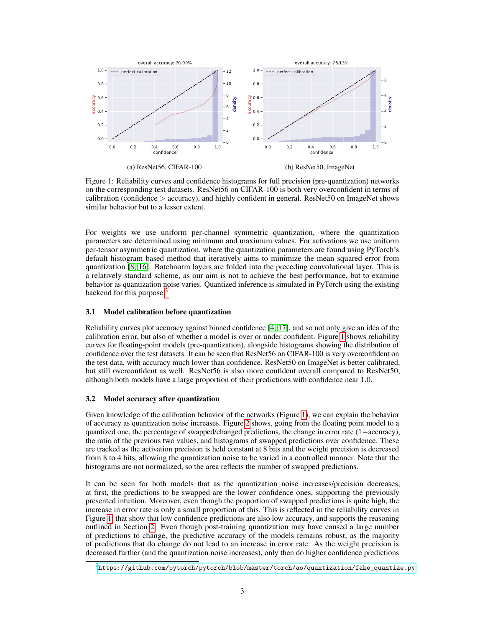<span id="page-2-1"></span>

Figure 1: Reliability curves and confidence histograms for full precision (pre-quantization) networks on the corresponding test datasets. ResNet56 on CIFAR-100 is both very overconfident in terms of calibration (confidence  $\geq$  accuracy), and highly confident in general. ResNet50 on ImageNet shows similar behavior but to a lesser extent.

For weights we use uniform per-channel symmetric quantization, where the quantization parameters are determined using minimum and maximum values. For activations we use uniform per-tensor asymmetric quantization, where the quantization parameters are found using PyTorch's default histogram based method that iteratively aims to minimize the mean squared error from quantization [\[8,](#page-4-7) [16\]](#page-4-15). Batchnorm layers are folded into the preceding convolutional layer. This is a relatively standard scheme, as our aim is not to achieve the best performance, but to examine behavior as quantization noise varies. Quantized inference is simulated in PyTorch using the existing backend for this purpose. $3$ 

#### 3.1 Model calibration before quantization

Reliability curves plot accuracy against binned confidence [\[4,](#page-4-3) [17\]](#page-4-16), and so not only give an idea of the calibration error, but also of whether a model is over or under confident. Figure [1](#page-2-1) shows reliability curves for floating-point models (pre-quantization), alongside histograms showing the distribution of confidence over the test datasets. It can be seen that ResNet56 on CIFAR-100 is very overconfident on the test data, with accuracy much lower than confidence. ResNet50 on ImageNet is better calibrated, but still overconfident as well. ResNet56 is also more confident overall compared to ResNet50, although both models have a large proportion of their predictions with confidence near 1.0.

#### 3.2 Model accuracy after quantization

Given knowledge of the calibration behavior of the networks (Figure [1\)](#page-2-1), we can explain the behavior of accuracy as quantization noise increases. Figure [2](#page-3-0) shows, going from the floating point model to a quantized one, the percentage of swapped/changed predictions, the change in error rate (1−accuracy), the ratio of the previous two values, and histograms of swapped predictions over confidence. These are tracked as the activation precision is held constant at 8 bits and the weight precision is decreased from 8 to 4 bits, allowing the quantization noise to be varied in a controlled manner. Note that the histograms are not normalized, so the area reflects the number of swapped predictions.

It can be seen for both models that as the quantization noise increases/precision decreases, at first, the predictions to be swapped are the lower confidence ones, supporting the previously presented intuition. Moreover, even though the proportion of swapped predictions is quite high, the increase in error rate is only a small proportion of this. This is reflected in the reliability curves in Figure [1,](#page-2-1) that show that low confidence predictions are also low accuracy, and supports the reasoning outlined in Section [2.](#page-1-1) Even though post-training quantization may have caused a large number of predictions to change, the predictive accuracy of the models remains robust, as the majority of predictions that do change do not lead to an increase in error rate. As the weight precision is decreased further (and the quantization noise increases), only then do higher confidence predictions

<span id="page-2-0"></span> $^3$ [https://github.com/pytorch/pytorch/blob/master/torch/ao/quantization/fake\\_quantize.py](https://github.com/pytorch/pytorch/blob/master/torch/ao/quantization/fake_quantize.py)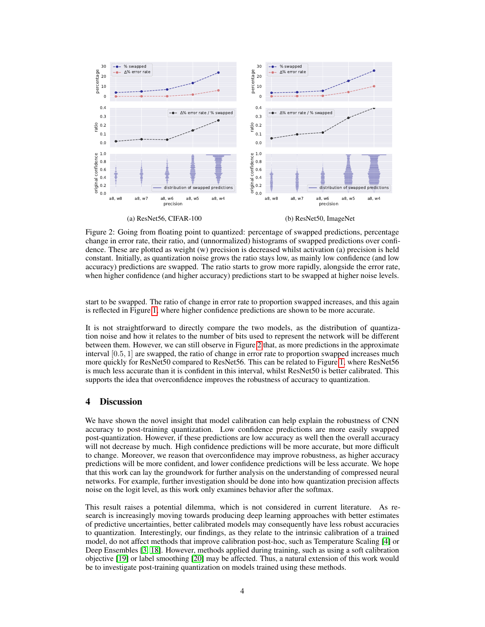<span id="page-3-0"></span>

Figure 2: Going from floating point to quantized: percentage of swapped predictions, percentage change in error rate, their ratio, and (unnormalized) histograms of swapped predictions over confidence. These are plotted as weight (w) precision is decreased whilst activation (a) precision is held constant. Initially, as quantization noise grows the ratio stays low, as mainly low confidence (and low accuracy) predictions are swapped. The ratio starts to grow more rapidly, alongside the error rate, when higher confidence (and higher accuracy) predictions start to be swapped at higher noise levels.

start to be swapped. The ratio of change in error rate to proportion swapped increases, and this again is reflected in Figure [1,](#page-2-1) where higher confidence predictions are shown to be more accurate.

It is not straightforward to directly compare the two models, as the distribution of quantization noise and how it relates to the number of bits used to represent the network will be different between them. However, we can still observe in Figure [2](#page-3-0) that, as more predictions in the approximate interval [0.5, 1] are swapped, the ratio of change in error rate to proportion swapped increases much more quickly for ResNet50 compared to ResNet56. This can be related to Figure [1,](#page-2-1) where ResNet56 is much less accurate than it is confident in this interval, whilst ResNet50 is better calibrated. This supports the idea that overconfidence improves the robustness of accuracy to quantization.

## 4 Discussion

We have shown the novel insight that model calibration can help explain the robustness of CNN accuracy to post-training quantization. Low confidence predictions are more easily swapped post-quantization. However, if these predictions are low accuracy as well then the overall accuracy will not decrease by much. High confidence predictions will be more accurate, but more difficult to change. Moreover, we reason that overconfidence may improve robustness, as higher accuracy predictions will be more confident, and lower confidence predictions will be less accurate. We hope that this work can lay the groundwork for further analysis on the understanding of compressed neural networks. For example, further investigation should be done into how quantization precision affects noise on the logit level, as this work only examines behavior after the softmax.

This result raises a potential dilemma, which is not considered in current literature. As research is increasingly moving towards producing deep learning approaches with better estimates of predictive uncertainties, better calibrated models may consequently have less robust accuracies to quantization. Interestingly, our findings, as they relate to the intrinsic calibration of a trained model, do not affect methods that improve calibration post-hoc, such as Temperature Scaling [\[4\]](#page-4-3) or Deep Ensembles [\[3,](#page-4-2) [18\]](#page-4-17). However, methods applied during training, such as using a soft calibration objective [\[19\]](#page-4-18) or label smoothing [\[20\]](#page-4-19) may be affected. Thus, a natural extension of this work would be to investigate post-training quantization on models trained using these methods.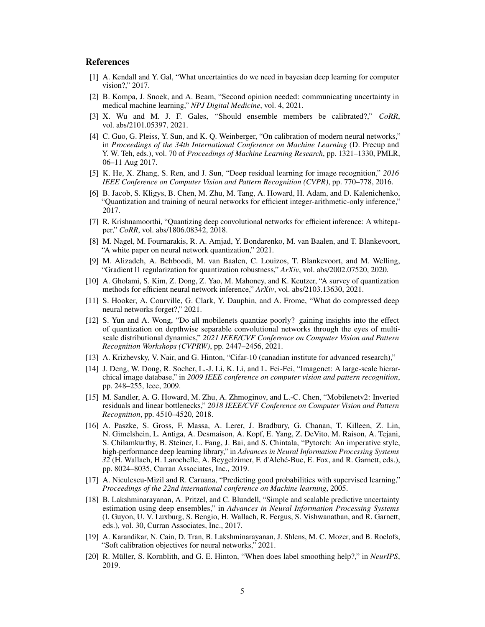#### References

- <span id="page-4-0"></span>[1] A. Kendall and Y. Gal, "What uncertainties do we need in bayesian deep learning for computer vision?," 2017.
- <span id="page-4-1"></span>[2] B. Kompa, J. Snoek, and A. Beam, "Second opinion needed: communicating uncertainty in medical machine learning," *NPJ Digital Medicine*, vol. 4, 2021.
- <span id="page-4-2"></span>[3] X. Wu and M. J. F. Gales, "Should ensemble members be calibrated?," *CoRR*, vol. abs/2101.05397, 2021.
- <span id="page-4-3"></span>[4] C. Guo, G. Pleiss, Y. Sun, and K. Q. Weinberger, "On calibration of modern neural networks," in *Proceedings of the 34th International Conference on Machine Learning* (D. Precup and Y. W. Teh, eds.), vol. 70 of *Proceedings of Machine Learning Research*, pp. 1321–1330, PMLR, 06–11 Aug 2017.
- <span id="page-4-4"></span>[5] K. He, X. Zhang, S. Ren, and J. Sun, "Deep residual learning for image recognition," *2016 IEEE Conference on Computer Vision and Pattern Recognition (CVPR)*, pp. 770–778, 2016.
- <span id="page-4-5"></span>[6] B. Jacob, S. Kligys, B. Chen, M. Zhu, M. Tang, A. Howard, H. Adam, and D. Kalenichenko, "Quantization and training of neural networks for efficient integer-arithmetic-only inference," 2017.
- <span id="page-4-6"></span>[7] R. Krishnamoorthi, "Quantizing deep convolutional networks for efficient inference: A whitepaper," *CoRR*, vol. abs/1806.08342, 2018.
- <span id="page-4-7"></span>[8] M. Nagel, M. Fournarakis, R. A. Amjad, Y. Bondarenko, M. van Baalen, and T. Blankevoort, "A white paper on neural network quantization," 2021.
- <span id="page-4-8"></span>[9] M. Alizadeh, A. Behboodi, M. van Baalen, C. Louizos, T. Blankevoort, and M. Welling, "Gradient l1 regularization for quantization robustness," *ArXiv*, vol. abs/2002.07520, 2020.
- <span id="page-4-9"></span>[10] A. Gholami, S. Kim, Z. Dong, Z. Yao, M. Mahoney, and K. Keutzer, "A survey of quantization methods for efficient neural network inference," *ArXiv*, vol. abs/2103.13630, 2021.
- <span id="page-4-10"></span>[11] S. Hooker, A. Courville, G. Clark, Y. Dauphin, and A. Frome, "What do compressed deep neural networks forget?," 2021.
- <span id="page-4-11"></span>[12] S. Yun and A. Wong, "Do all mobilenets quantize poorly? gaining insights into the effect of quantization on depthwise separable convolutional networks through the eyes of multiscale distributional dynamics," *2021 IEEE/CVF Conference on Computer Vision and Pattern Recognition Workshops (CVPRW)*, pp. 2447–2456, 2021.
- <span id="page-4-12"></span>[13] A. Krizhevsky, V. Nair, and G. Hinton, "Cifar-10 (canadian institute for advanced research),"
- <span id="page-4-13"></span>[14] J. Deng, W. Dong, R. Socher, L.-J. Li, K. Li, and L. Fei-Fei, "Imagenet: A large-scale hierarchical image database," in *2009 IEEE conference on computer vision and pattern recognition*, pp. 248–255, Ieee, 2009.
- <span id="page-4-14"></span>[15] M. Sandler, A. G. Howard, M. Zhu, A. Zhmoginov, and L.-C. Chen, "Mobilenetv2: Inverted residuals and linear bottlenecks," *2018 IEEE/CVF Conference on Computer Vision and Pattern Recognition*, pp. 4510–4520, 2018.
- <span id="page-4-15"></span>[16] A. Paszke, S. Gross, F. Massa, A. Lerer, J. Bradbury, G. Chanan, T. Killeen, Z. Lin, N. Gimelshein, L. Antiga, A. Desmaison, A. Kopf, E. Yang, Z. DeVito, M. Raison, A. Tejani, S. Chilamkurthy, B. Steiner, L. Fang, J. Bai, and S. Chintala, "Pytorch: An imperative style, high-performance deep learning library," in *Advances in Neural Information Processing Systems 32* (H. Wallach, H. Larochelle, A. Beygelzimer, F. d'Alché-Buc, E. Fox, and R. Garnett, eds.), pp. 8024–8035, Curran Associates, Inc., 2019.
- <span id="page-4-16"></span>[17] A. Niculescu-Mizil and R. Caruana, "Predicting good probabilities with supervised learning," *Proceedings of the 22nd international conference on Machine learning*, 2005.
- <span id="page-4-17"></span>[18] B. Lakshminarayanan, A. Pritzel, and C. Blundell, "Simple and scalable predictive uncertainty estimation using deep ensembles," in *Advances in Neural Information Processing Systems* (I. Guyon, U. V. Luxburg, S. Bengio, H. Wallach, R. Fergus, S. Vishwanathan, and R. Garnett, eds.), vol. 30, Curran Associates, Inc., 2017.
- <span id="page-4-18"></span>[19] A. Karandikar, N. Cain, D. Tran, B. Lakshminarayanan, J. Shlens, M. C. Mozer, and B. Roelofs, "Soft calibration objectives for neural networks," 2021.
- <span id="page-4-19"></span>[20] R. Müller, S. Kornblith, and G. E. Hinton, "When does label smoothing help?," in *NeurIPS*, 2019.